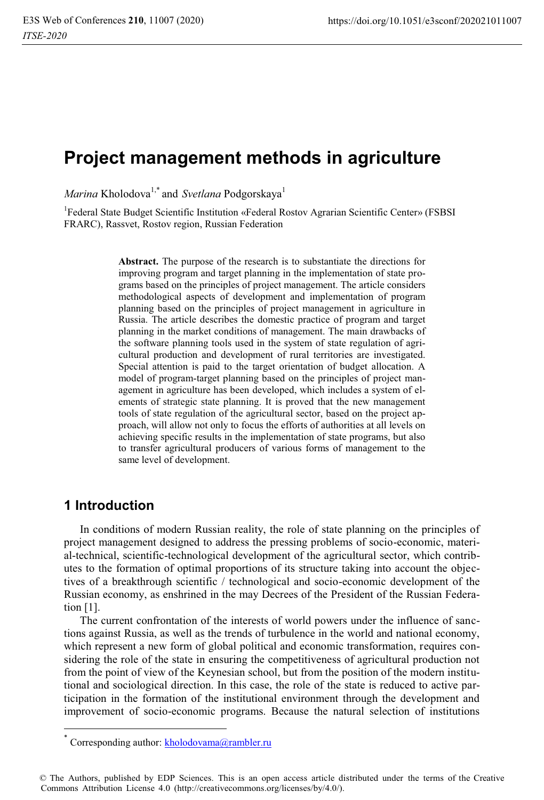# **Project management methods in agriculture**

*Marina* Kholodova<sup>1,\*</sup> and *Svetlana* Podgorskaya<sup>1</sup>

<sup>1</sup>Federal State Budget Scientific Institution «Federal Rostov Agrarian Scientific Center» (FSBSI FRARC), Rassvet, Rostov region, Russian Federation

> **Abstract.** The purpose of the research is to substantiate the directions for improving program and target planning in the implementation of state programs based on the principles of project management. The article considers methodological aspects of development and implementation of program planning based on the principles of project management in agriculture in Russia. The article describes the domestic practice of program and target planning in the market conditions of management. The main drawbacks of the software planning tools used in the system of state regulation of agricultural production and development of rural territories are investigated. Special attention is paid to the target orientation of budget allocation. A model of program-target planning based on the principles of project management in agriculture has been developed, which includes a system of elements of strategic state planning. It is proved that the new management tools of state regulation of the agricultural sector, based on the project approach, will allow not only to focus the efforts of authorities at all levels on achieving specific results in the implementation of state programs, but also to transfer agricultural producers of various forms of management to the same level of development.

## **1 Introduction**

 $\overline{a}$ 

In conditions of modern Russian reality, the role of state planning on the principles of project management designed to address the pressing problems of socio-economic, material-technical, scientific-technological development of the agricultural sector, which contributes to the formation of optimal proportions of its structure taking into account the objectives of a breakthrough scientific / technological and socio-economic development of the Russian economy, as enshrined in the may Decrees of the President of the Russian Federation [1].

The current confrontation of the interests of world powers under the influence of sanctions against Russia, as well as the trends of turbulence in the world and national economy, which represent a new form of global political and economic transformation, requires considering the role of the state in ensuring the competitiveness of agricultural production not from the point of view of the Keynesian school, but from the position of the modern institutional and sociological direction. In this case, the role of the state is reduced to active participation in the formation of the institutional environment through the development and improvement of socio-economic programs. Because the natural selection of institutions

Corresponding author: kholodovama@rambler.ru

<sup>©</sup> The Authors, published by EDP Sciences. This is an open access article distributed under the terms of the Creative Commons Attribution License 4.0 (http://creativecommons.org/licenses/by/4.0/).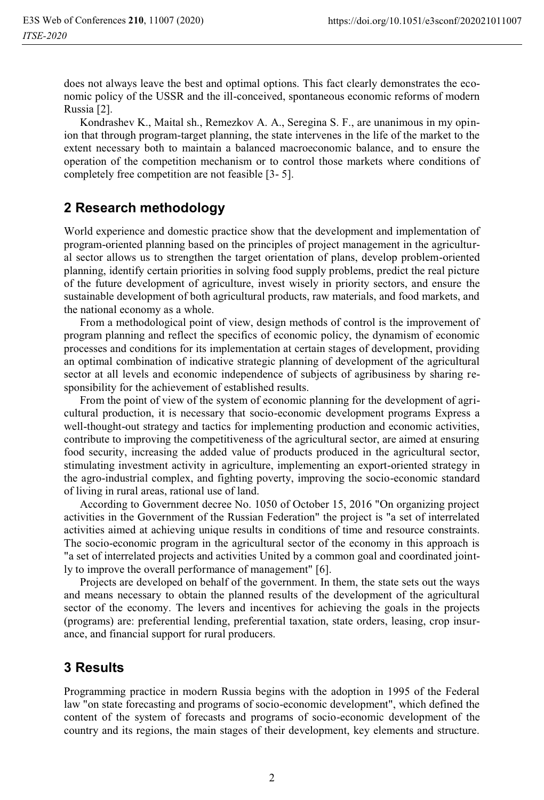does not always leave the best and optimal options. This fact clearly demonstrates the economic policy of the USSR and the ill-conceived, spontaneous economic reforms of modern Russia [2].

Kondrashev K., Maital sh., Remezkov A. A., Seregina S. F., are unanimous in my opinion that through program-target planning, the state intervenes in the life of the market to the extent necessary both to maintain a balanced macroeconomic balance, and to ensure the operation of the competition mechanism or to control those markets where conditions of completely free competition are not feasible [3- 5].

## **2 Research methodology**

World experience and domestic practice show that the development and implementation of program-oriented planning based on the principles of project management in the agricultural sector allows us to strengthen the target orientation of plans, develop problem-oriented planning, identify certain priorities in solving food supply problems, predict the real picture of the future development of agriculture, invest wisely in priority sectors, and ensure the sustainable development of both agricultural products, raw materials, and food markets, and the national economy as a whole.

From a methodological point of view, design methods of control is the improvement of program planning and reflect the specifics of economic policy, the dynamism of economic processes and conditions for its implementation at certain stages of development, providing an optimal combination of indicative strategic planning of development of the agricultural sector at all levels and economic independence of subjects of agribusiness by sharing responsibility for the achievement of established results.

From the point of view of the system of economic planning for the development of agricultural production, it is necessary that socio-economic development programs Express a well-thought-out strategy and tactics for implementing production and economic activities, contribute to improving the competitiveness of the agricultural sector, are aimed at ensuring food security, increasing the added value of products produced in the agricultural sector, stimulating investment activity in agriculture, implementing an export-oriented strategy in the agro-industrial complex, and fighting poverty, improving the socio-economic standard of living in rural areas, rational use of land.

According to Government decree No. 1050 of October 15, 2016 "On organizing project activities in the Government of the Russian Federation" the project is "a set of interrelated activities aimed at achieving unique results in conditions of time and resource constraints. The socio-economic program in the agricultural sector of the economy in this approach is "a set of interrelated projects and activities United by a common goal and coordinated jointly to improve the overall performance of management" [6].

Projects are developed on behalf of the government. In them, the state sets out the ways and means necessary to obtain the planned results of the development of the agricultural sector of the economy. The levers and incentives for achieving the goals in the projects (programs) are: preferential lending, preferential taxation, state orders, leasing, crop insurance, and financial support for rural producers.

## **3 Results**

Programming practice in modern Russia begins with the adoption in 1995 of the Federal law "on state forecasting and programs of socio-economic development", which defined the content of the system of forecasts and programs of socio-economic development of the country and its regions, the main stages of their development, key elements and structure.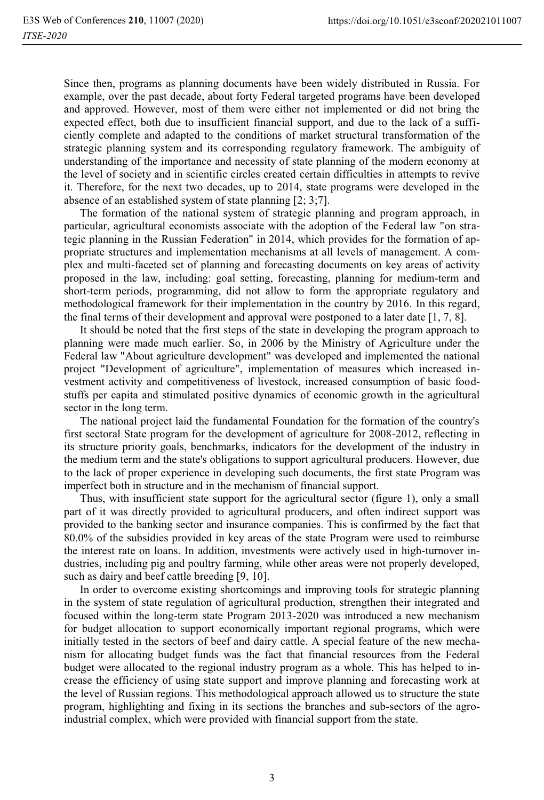Since then, programs as planning documents have been widely distributed in Russia. For example, over the past decade, about forty Federal targeted programs have been developed and approved. However, most of them were either not implemented or did not bring the expected effect, both due to insufficient financial support, and due to the lack of a sufficiently complete and adapted to the conditions of market structural transformation of the strategic planning system and its corresponding regulatory framework. The ambiguity of understanding of the importance and necessity of state planning of the modern economy at the level of society and in scientific circles created certain difficulties in attempts to revive it. Therefore, for the next two decades, up to 2014, state programs were developed in the absence of an established system of state planning [2; 3;7].

The formation of the national system of strategic planning and program approach, in particular, agricultural economists associate with the adoption of the Federal law "on strategic planning in the Russian Federation" in 2014, which provides for the formation of appropriate structures and implementation mechanisms at all levels of management. A complex and multi-faceted set of planning and forecasting documents on key areas of activity proposed in the law, including: goal setting, forecasting, planning for medium-term and short-term periods, programming, did not allow to form the appropriate regulatory and methodological framework for their implementation in the country by 2016. In this regard, the final terms of their development and approval were postponed to a later date [1, 7, 8].

It should be noted that the first steps of the state in developing the program approach to planning were made much earlier. So, in 2006 by the Ministry of Agriculture under the Federal law "About agriculture development" was developed and implemented the national project "Development of agriculture", implementation of measures which increased investment activity and competitiveness of livestock, increased consumption of basic foodstuffs per capita and stimulated positive dynamics of economic growth in the agricultural sector in the long term.

The national project laid the fundamental Foundation for the formation of the country's first sectoral State program for the development of agriculture for 2008-2012, reflecting in its structure priority goals, benchmarks, indicators for the development of the industry in the medium term and the state's obligations to support agricultural producers. However, due to the lack of proper experience in developing such documents, the first state Program was imperfect both in structure and in the mechanism of financial support.

Thus, with insufficient state support for the agricultural sector (figure 1), only a small part of it was directly provided to agricultural producers, and often indirect support was provided to the banking sector and insurance companies. This is confirmed by the fact that 80.0% of the subsidies provided in key areas of the state Program were used to reimburse the interest rate on loans. In addition, investments were actively used in high-turnover industries, including pig and poultry farming, while other areas were not properly developed, such as dairy and beef cattle breeding [9, 10].

In order to overcome existing shortcomings and improving tools for strategic planning in the system of state regulation of agricultural production, strengthen their integrated and focused within the long-term state Program 2013-2020 was introduced a new mechanism for budget allocation to support economically important regional programs, which were initially tested in the sectors of beef and dairy cattle. A special feature of the new mechanism for allocating budget funds was the fact that financial resources from the Federal budget were allocated to the regional industry program as a whole. This has helped to increase the efficiency of using state support and improve planning and forecasting work at the level of Russian regions. This methodological approach allowed us to structure the state program, highlighting and fixing in its sections the branches and sub-sectors of the agroindustrial complex, which were provided with financial support from the state.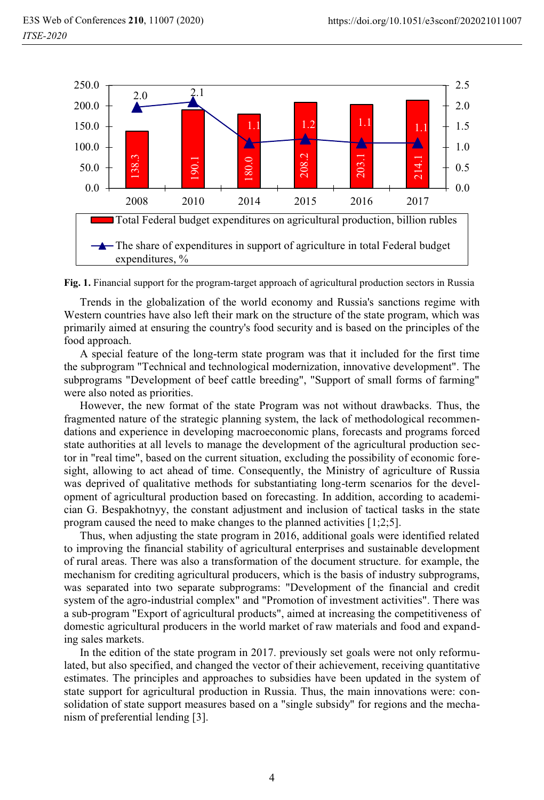

**Fig. 1.** Financial support for the program-target approach of agricultural production sectors in Russia

Trends in the globalization of the world economy and Russia's sanctions regime with Western countries have also left their mark on the structure of the state program, which was primarily aimed at ensuring the country's food security and is based on the principles of the food approach.

A special feature of the long-term state program was that it included for the first time the subprogram "Technical and technological modernization, innovative development". The subprograms "Development of beef cattle breeding", "Support of small forms of farming" were also noted as priorities.

However, the new format of the state Program was not without drawbacks. Thus, the fragmented nature of the strategic planning system, the lack of methodological recommendations and experience in developing macroeconomic plans, forecasts and programs forced state authorities at all levels to manage the development of the agricultural production sector in "real time", based on the current situation, excluding the possibility of economic foresight, allowing to act ahead of time. Consequently, the Ministry of agriculture of Russia was deprived of qualitative methods for substantiating long-term scenarios for the development of agricultural production based on forecasting. In addition, according to academician G. Bespakhotnyy, the constant adjustment and inclusion of tactical tasks in the state program caused the need to make changes to the planned activities [1;2;5]. 9.0.  $\frac{1}{25}$  190.1 22011 22014 22015 22014 22015 22016 22016 22016 22016 22016 22016 22016 22016 22016 22016 22016 22016 22016 22016 22016 22016 22016 22016 22016 22016 22016 22016 22016 22016 22016 22016 22016 22016

Thus, when adjusting the state program in 2016, additional goals were identified related to improving the financial stability of agricultural enterprises and sustainable development of rural areas. There was also a transformation of the document structure. for example, the mechanism for crediting agricultural producers, which is the basis of industry subprograms, was separated into two separate subprograms: "Development of the financial and credit system of the agro-industrial complex" and "Promotion of investment activities". There was a sub-program "Export of agricultural products", aimed at increasing the competitiveness of domestic agricultural producers in the world market of raw materials and food and expanding sales markets.

In the edition of the state program in 2017. previously set goals were not only reformulated, but also specified, and changed the vector of their achievement, receiving quantitative estimates. The principles and approaches to subsidies have been updated in the system of state support for agricultural production in Russia. Thus, the main innovations were: consolidation of state support measures based on a "single subsidy" for regions and the mecha-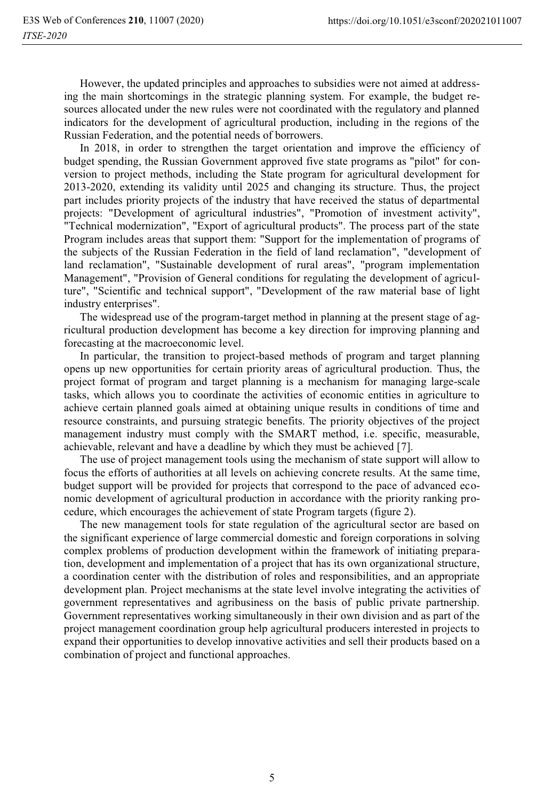However, the updated principles and approaches to subsidies were not aimed at addressing the main shortcomings in the strategic planning system. For example, the budget resources allocated under the new rules were not coordinated with the regulatory and planned indicators for the development of agricultural production, including in the regions of the Russian Federation, and the potential needs of borrowers.

In 2018, in order to strengthen the target orientation and improve the efficiency of budget spending, the Russian Government approved five state programs as "pilot" for conversion to project methods, including the State program for agricultural development for 2013-2020, extending its validity until 2025 and changing its structure. Thus, the project part includes priority projects of the industry that have received the status of departmental projects: "Development of agricultural industries", "Promotion of investment activity", "Technical modernization", "Export of agricultural products". The process part of the state Program includes areas that support them: "Support for the implementation of programs of the subjects of the Russian Federation in the field of land reclamation", "development of land reclamation", "Sustainable development of rural areas", "program implementation Management", "Provision of General conditions for regulating the development of agriculture", "Scientific and technical support", "Development of the raw material base of light industry enterprises".

The widespread use of the program-target method in planning at the present stage of agricultural production development has become a key direction for improving planning and forecasting at the macroeconomic level.

In particular, the transition to project-based methods of program and target planning opens up new opportunities for certain priority areas of agricultural production. Thus, the project format of program and target planning is a mechanism for managing large-scale tasks, which allows you to coordinate the activities of economic entities in agriculture to achieve certain planned goals aimed at obtaining unique results in conditions of time and resource constraints, and pursuing strategic benefits. The priority objectives of the project management industry must comply with the SMART method, i.e. specific, measurable, achievable, relevant and have a deadline by which they must be achieved [7].

The use of project management tools using the mechanism of state support will allow to focus the efforts of authorities at all levels on achieving concrete results. At the same time, budget support will be provided for projects that correspond to the pace of advanced economic development of agricultural production in accordance with the priority ranking procedure, which encourages the achievement of state Program targets (figure 2).

The new management tools for state regulation of the agricultural sector are based on the significant experience of large commercial domestic and foreign corporations in solving complex problems of production development within the framework of initiating preparation, development and implementation of a project that has its own organizational structure, a coordination center with the distribution of roles and responsibilities, and an appropriate development plan. Project mechanisms at the state level involve integrating the activities of government representatives and agribusiness on the basis of public private partnership. Government representatives working simultaneously in their own division and as part of the project management coordination group help agricultural producers interested in projects to expand their opportunities to develop innovative activities and sell their products based on a combination of project and functional approaches.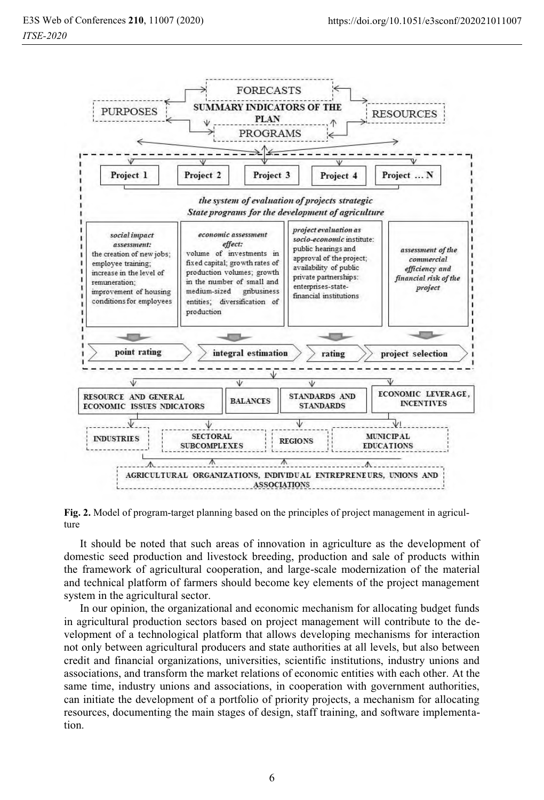

**Fig. 2.** Model of program-target planning based on the principles of project management in agriculture

It should be noted that such areas of innovation in agriculture as the development of domestic seed production and livestock breeding, production and sale of products within the framework of agricultural cooperation, and large-scale modernization of the material and technical platform of farmers should become key elements of the project management system in the agricultural sector.

In our opinion, the organizational and economic mechanism for allocating budget funds in agricultural production sectors based on project management will contribute to the development of a technological platform that allows developing mechanisms for interaction not only between agricultural producers and state authorities at all levels, but also between credit and financial organizations, universities, scientific institutions, industry unions and associations, and transform the market relations of economic entities with each other. At the same time, industry unions and associations, in cooperation with government authorities, can initiate the development of a portfolio of priority projects, a mechanism for allocating resources, documenting the main stages of design, staff training, and software implementation.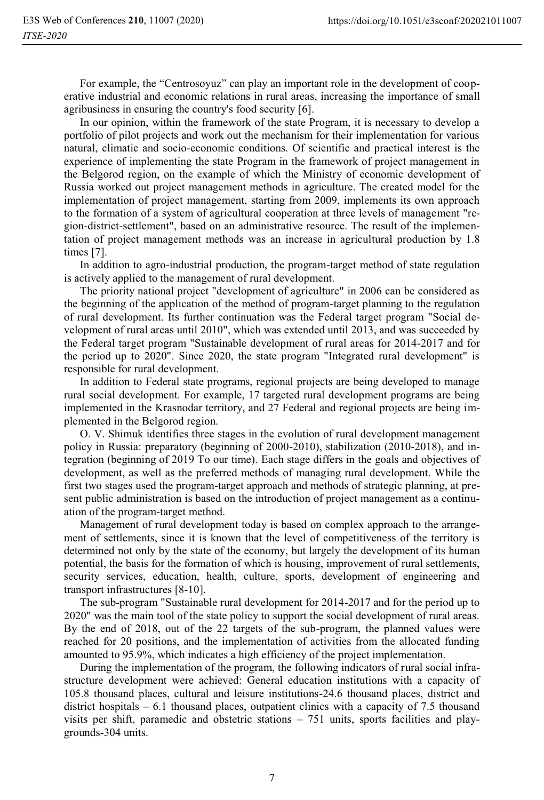For example, the "Centrosoyuz" can play an important role in the development of cooperative industrial and economic relations in rural areas, increasing the importance of small agribusiness in ensuring the country's food security [6].

In our opinion, within the framework of the state Program, it is necessary to develop a portfolio of pilot projects and work out the mechanism for their implementation for various natural, climatic and socio-economic conditions. Of scientific and practical interest is the experience of implementing the state Program in the framework of project management in the Belgorod region, on the example of which the Ministry of economic development of Russia worked out project management methods in agriculture. The created model for the implementation of project management, starting from 2009, implements its own approach to the formation of a system of agricultural cooperation at three levels of management "region-district-settlement", based on an administrative resource. The result of the implementation of project management methods was an increase in agricultural production by 1.8 times [7].

In addition to agro-industrial production, the program-target method of state regulation is actively applied to the management of rural development.

The priority national project "development of agriculture" in 2006 can be considered as the beginning of the application of the method of program-target planning to the regulation of rural development. Its further continuation was the Federal target program "Social development of rural areas until 2010", which was extended until 2013, and was succeeded by the Federal target program "Sustainable development of rural areas for 2014-2017 and for the period up to 2020". Since 2020, the state program "Integrated rural development" is responsible for rural development.

In addition to Federal state programs, regional projects are being developed to manage rural social development. For example, 17 targeted rural development programs are being implemented in the Krasnodar territory, and 27 Federal and regional projects are being implemented in the Belgorod region.

O. V. Shimuk identifies three stages in the evolution of rural development management policy in Russia: preparatory (beginning of 2000-2010), stabilization (2010-2018), and integration (beginning of 2019 To our time). Each stage differs in the goals and objectives of development, as well as the preferred methods of managing rural development. While the first two stages used the program-target approach and methods of strategic planning, at present public administration is based on the introduction of project management as a continuation of the program-target method.

Management of rural development today is based on complex approach to the arrangement of settlements, since it is known that the level of competitiveness of the territory is determined not only by the state of the economy, but largely the development of its human potential, the basis for the formation of which is housing, improvement of rural settlements, security services, education, health, culture, sports, development of engineering and transport infrastructures [8-10].

The sub-program "Sustainable rural development for 2014-2017 and for the period up to 2020" was the main tool of the state policy to support the social development of rural areas. By the end of 2018, out of the 22 targets of the sub-program, the planned values were reached for 20 positions, and the implementation of activities from the allocated funding amounted to 95.9%, which indicates a high efficiency of the project implementation.

During the implementation of the program, the following indicators of rural social infrastructure development were achieved: General education institutions with a capacity of 105.8 thousand places, cultural and leisure institutions-24.6 thousand places, district and district hospitals  $-6.1$  thousand places, outpatient clinics with a capacity of 7.5 thousand visits per shift, paramedic and obstetric stations – 751 units, sports facilities and playgrounds-304 units.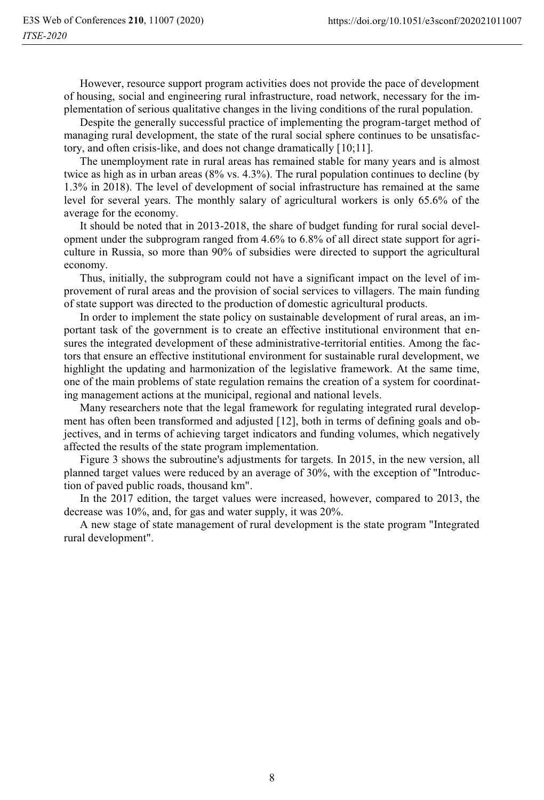However, resource support program activities does not provide the pace of development of housing, social and engineering rural infrastructure, road network, necessary for the implementation of serious qualitative changes in the living conditions of the rural population.

Despite the generally successful practice of implementing the program-target method of managing rural development, the state of the rural social sphere continues to be unsatisfactory, and often crisis-like, and does not change dramatically [10;11].

The unemployment rate in rural areas has remained stable for many years and is almost twice as high as in urban areas (8% vs. 4.3%). The rural population continues to decline (by 1.3% in 2018). The level of development of social infrastructure has remained at the same level for several years. The monthly salary of agricultural workers is only 65.6% of the average for the economy.

It should be noted that in 2013-2018, the share of budget funding for rural social development under the subprogram ranged from 4.6% to 6.8% of all direct state support for agriculture in Russia, so more than 90% of subsidies were directed to support the agricultural economy.

Thus, initially, the subprogram could not have a significant impact on the level of improvement of rural areas and the provision of social services to villagers. The main funding of state support was directed to the production of domestic agricultural products.

In order to implement the state policy on sustainable development of rural areas, an important task of the government is to create an effective institutional environment that ensures the integrated development of these administrative-territorial entities. Among the factors that ensure an effective institutional environment for sustainable rural development, we highlight the updating and harmonization of the legislative framework. At the same time, one of the main problems of state regulation remains the creation of a system for coordinating management actions at the municipal, regional and national levels.

Many researchers note that the legal framework for regulating integrated rural development has often been transformed and adjusted [12], both in terms of defining goals and objectives, and in terms of achieving target indicators and funding volumes, which negatively affected the results of the state program implementation.

Figure 3 shows the subroutine's adjustments for targets. In 2015, in the new version, all planned target values were reduced by an average of 30%, with the exception of "Introduction of paved public roads, thousand km".

In the 2017 edition, the target values were increased, however, compared to 2013, the decrease was 10%, and, for gas and water supply, it was 20%.

A new stage of state management of rural development is the state program "Integrated rural development".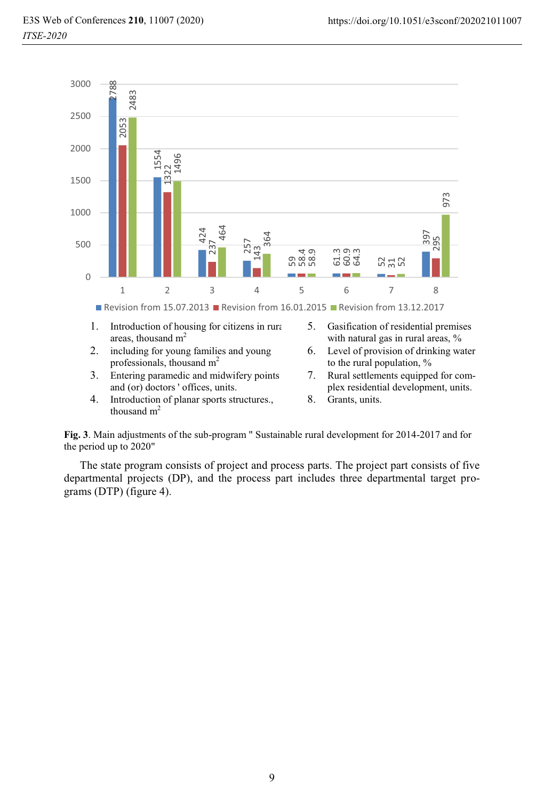

- 1. Introduction of housing for citizens in rura areas, thousand  $m<sup>2</sup>$
- 2. including for young families and young professionals, thousand  $m<sup>2</sup>$
- 3. Entering paramedic and midwifery points and (or) doctors ' offices, units.
- 4. Introduction of planar sports structures., thousand  $m<sup>2</sup>$
- 5. Gasification of residential premises with natural gas in rural areas, %
- 6. Level of provision of drinking water to the rural population, %
- 7. Rural settlements equipped for complex residential development, units.
- 8. Grants, units.

**Fig. 3**. Main adjustments of the sub-program " Sustainable rural development for 2014-2017 and for the period up to 2020"

The state program consists of project and process parts. The project part consists of five departmental projects (DP), and the process part includes three departmental target pro-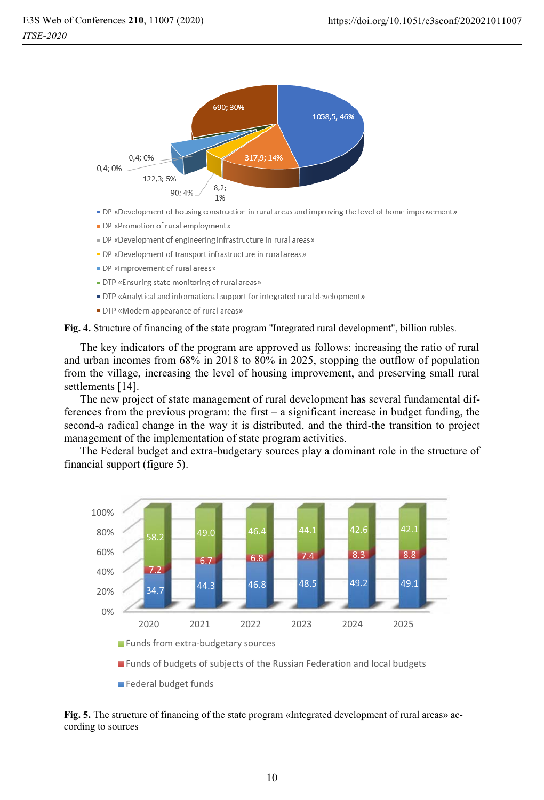

- . DP «Development of housing construction in rural areas and improving the level of home improvement»
- DP «Promotion of rural employment»
- . DP «Development of engineering infrastructure in rural areas»
- DP «Development of transport infrastructure in rural areas»
- DP «Improvement of rural areas»
- . DTP «Ensuring state monitoring of rural areas»
- . DTP «Analytical and informational support for integrated rural development»
- DTP «Modern appearance of rural areas»

**Fig. 4.** Structure of financing of the state program "Integrated rural development", billion rubles.

The key indicators of the program are approved as follows: increasing the ratio of rural and urban incomes from 68% in 2018 to 80% in 2025, stopping the outflow of population from the village, increasing the level of housing improvement, and preserving small rural settlements [14].

The new project of state management of rural development has several fundamental differences from the previous program: the first  $-$  a significant increase in budget funding, the second-a radical change in the way it is distributed, and the third-the transition to project management of the implementation of state program activities.

The Federal budget and extra-budgetary sources play a dominant role in the structure of financial support (figure 5).



**Funds of budgets of subjects of the Russian Federation and local budgets** 

**Federal budget funds** 

#### **Fig. 5.** The structure of financing of the state program «Integrated development of rural areas» according to sources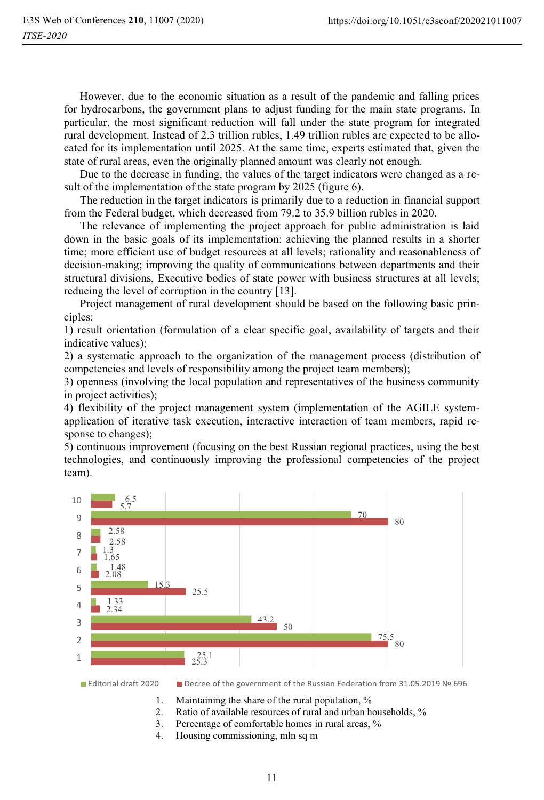However, due to the economic situation as a result of the pandemic and falling prices for hydrocarbons, the government plans to adjust funding for the main state programs. In particular, the most significant reduction will fall under the state program for integrated rural development. Instead of 2.3 trillion rubles, 1.49 trillion rubles are expected to be allocated for its implementation until 2025. At the same time, experts estimated that, given the state of rural areas, even the originally planned amount was clearly not enough.

Due to the decrease in funding, the values of the target indicators were changed as a result of the implementation of the state program by 2025 (figure 6).

The reduction in the target indicators is primarily due to a reduction in financial support from the Federal budget, which decreased from 79.2 to 35.9 billion rubles in 2020.

The relevance of implementing the project approach for public administration is laid down in the basic goals of its implementation: achieving the planned results in a shorter time; more efficient use of budget resources at all levels; rationality and reasonableness of decision-making; improving the quality of communications between departments and their structural divisions, Executive bodies of state power with business structures at all levels; reducing the level of corruption in the country [13].

Project management of rural development should be based on the following basic principles:

1) result orientation (formulation of a clear specific goal, availability of targets and their indicative values);

2) a systematic approach to the organization of the management process (distribution of competencies and levels of responsibility among the project team members);

3) openness (involving the local population and representatives of the business community in project activities);

4) flexibility of the project management system (implementation of the AGILE systemapplication of iterative task execution, interactive interaction of team members, rapid response to changes);

5) continuous improvement (focusing on the best Russian regional practices, using the best technologies, and continuously improving the professional competencies of the project team).



■ Editorial draft 2020 ■ Decree of the government of the Russian Federation from 31.05.2019 № 696

- 1. Maintaining the share of the rural population, %
- 2. Ratio of available resources of rural and urban households, %
- 3. Percentage of comfortable homes in rural areas, %
- 4. Housing commissioning, mln sq m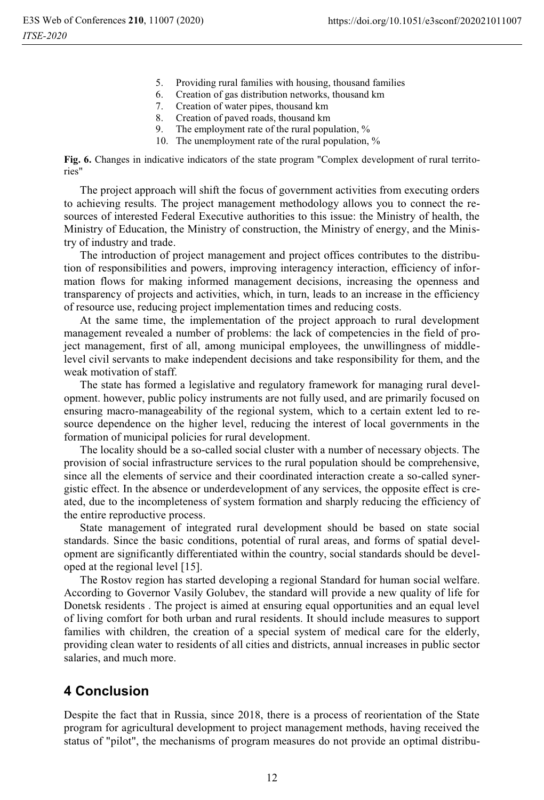- 5. Providing rural families with housing, thousand families
- 6. Creation of gas distribution networks, thousand km<br>7. Creation of water pipes, thousand km
- Creation of water pipes, thousand km
- 8. Creation of paved roads, thousand km
- 9. The employment rate of the rural population, %
- 10. The unemployment rate of the rural population, %

**Fig. 6.** Changes in indicative indicators of the state program "Complex development of rural territories"

The project approach will shift the focus of government activities from executing orders to achieving results. The project management methodology allows you to connect the resources of interested Federal Executive authorities to this issue: the Ministry of health, the Ministry of Education, the Ministry of construction, the Ministry of energy, and the Ministry of industry and trade.

The introduction of project management and project offices contributes to the distribution of responsibilities and powers, improving interagency interaction, efficiency of information flows for making informed management decisions, increasing the openness and transparency of projects and activities, which, in turn, leads to an increase in the efficiency of resource use, reducing project implementation times and reducing costs.

At the same time, the implementation of the project approach to rural development management revealed a number of problems: the lack of competencies in the field of project management, first of all, among municipal employees, the unwillingness of middlelevel civil servants to make independent decisions and take responsibility for them, and the weak motivation of staff.

The state has formed a legislative and regulatory framework for managing rural development. however, public policy instruments are not fully used, and are primarily focused on ensuring macro-manageability of the regional system, which to a certain extent led to resource dependence on the higher level, reducing the interest of local governments in the formation of municipal policies for rural development.

The locality should be a so-called social cluster with a number of necessary objects. The provision of social infrastructure services to the rural population should be comprehensive, since all the elements of service and their coordinated interaction create a so-called synergistic effect. In the absence or underdevelopment of any services, the opposite effect is created, due to the incompleteness of system formation and sharply reducing the efficiency of the entire reproductive process.

State management of integrated rural development should be based on state social standards. Since the basic conditions, potential of rural areas, and forms of spatial development are significantly differentiated within the country, social standards should be developed at the regional level [15].

The Rostov region has started developing a regional Standard for human social welfare. According to Governor Vasily Golubev, the standard will provide a new quality of life for Donetsk residents . The project is aimed at ensuring equal opportunities and an equal level of living comfort for both urban and rural residents. It should include measures to support families with children, the creation of a special system of medical care for the elderly, providing clean water to residents of all cities and districts, annual increases in public sector salaries, and much more.

## **4 Conclusion**

Despite the fact that in Russia, since 2018, there is a process of reorientation of the State program for agricultural development to project management methods, having received the status of "pilot", the mechanisms of program measures do not provide an optimal distribu